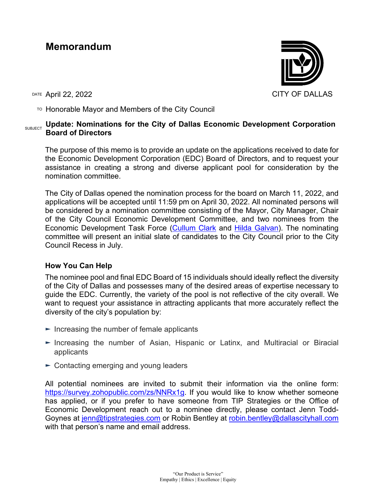# **Memorandum**

DATE April 22, 2022 CITY OF DALLAS

TO Honorable Mayor and Members of the City Council

# **SUBJECT** Update: Nominations for the City of Dallas Economic Development Corporation **Board of Directors**

The purpose of this memo is to provide an update on the applications received to date for the Economic Development Corporation (EDC) Board of Directors, and to request your assistance in creating a strong and diverse applicant pool for consideration by the nomination committee.

The City of Dallas opened the nomination process for the board on March 11, 2022, and applications will be accepted until 11:59 pm on April 30, 2022. All nominated persons will be considered by a nomination committee consisting of the Mayor, City Manager, Chair of the City Council Economic Development Committee, and two nominees from the Economic Development Task Force [\(Cullum Clark](https://www.bushcenter.org/people/guests/cullum-clark.html) and [Hilda Galvan\)](https://www.jonesday.com/en/lawyers/g/hilda-galvan?tab=overview). The nominating committee will present an initial slate of candidates to the City Council prior to the City Council Recess in July.

## **How You Can Help**

The nominee pool and final EDC Board of 15 individuals should ideally reflect the diversity of the City of Dallas and possesses many of the desired areas of expertise necessary to guide the EDC. Currently, the variety of the pool is not reflective of the city overall. We want to request your assistance in attracting applicants that more accurately reflect the diversity of the city's population by:

- $\blacktriangleright$  Increasing the number of female applicants
- ► Increasing the number of Asian, Hispanic or Latinx, and Multiracial or Biracial applicants
- ► Contacting emerging and young leaders

All potential nominees are invited to submit their information via the online form: [https://survey.zohopublic.com/zs/NNRx1g.](https://survey.zohopublic.com/zs/NNRx1g) If you would like to know whether someone has applied, or if you prefer to have someone from TIP Strategies or the Office of Economic Development reach out to a nominee directly, please contact Jenn Todd-Goynes at [jenn@tipstrategies.com](mailto:jenn@tipstrategies.com) or Robin Bentley at [robin.bentley@dallascityhall.com](mailto:robin.bentley@dallascityhall.com) with that person's name and email address.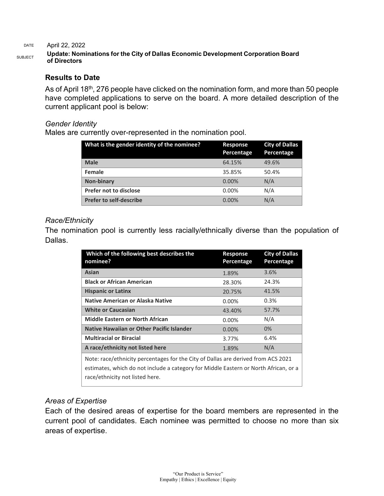#### DATE April 22, 2022

#### SUBJECT **Update: Nominations for the City of Dallas Economic Development Corporation Board of Directors**

### **Results to Date**

As of April 18<sup>th</sup>, 276 people have clicked on the nomination form, and more than 50 people have completed applications to serve on the board. A more detailed description of the current applicant pool is below:

#### *Gender Identity*

Males are currently over-represented in the nomination pool.

| What is the gender identity of the nominee? | Response<br>Percentage | <b>City of Dallas</b><br>Percentage |
|---------------------------------------------|------------------------|-------------------------------------|
| <b>Male</b>                                 | 64.15%                 | 49.6%                               |
| Female                                      | 35.85%                 | 50.4%                               |
| <b>Non-binary</b>                           | $0.00\%$               | N/A                                 |
| Prefer not to disclose                      | 0.00%                  | N/A                                 |
| <b>Prefer to self-describe</b>              | $0.00\%$               | N/A                                 |

### *Race/Ethnicity*

The nomination pool is currently less racially/ethnically diverse than the population of Dallas.

| Which of the following best describes the<br>nominee?                                                                                                                                                        | Response<br>Percentage | <b>City of Dallas</b><br>Percentage |
|--------------------------------------------------------------------------------------------------------------------------------------------------------------------------------------------------------------|------------------------|-------------------------------------|
| Asian                                                                                                                                                                                                        | 1.89%                  | 3.6%                                |
| <b>Black or African American</b>                                                                                                                                                                             | 28.30%                 | 24.3%                               |
| <b>Hispanic or Latinx</b>                                                                                                                                                                                    | 20.75%                 | 41.5%                               |
| Native American or Alaska Native                                                                                                                                                                             | $0.00\%$               | 0.3%                                |
| <b>White or Caucasian</b>                                                                                                                                                                                    | 43.40%                 | 57.7%                               |
| <b>Middle Eastern or North African</b>                                                                                                                                                                       | $0.00\%$               | N/A                                 |
| Native Hawaiian or Other Pacific Islander                                                                                                                                                                    | $0.00\%$               | 0%                                  |
| <b>Multiracial or Biracial</b>                                                                                                                                                                               | 3.77%                  | 6.4%                                |
| A race/ethnicity not listed here                                                                                                                                                                             | 1.89%                  | N/A                                 |
| Note: race/ethnicity percentages for the City of Dallas are derived from ACS 2021<br>estimates, which do not include a category for Middle Eastern or North African, or a<br>race/ethnicity not listed here. |                        |                                     |

## *Areas of Expertise*

Each of the desired areas of expertise for the board members are represented in the current pool of candidates. Each nominee was permitted to choose no more than six areas of expertise.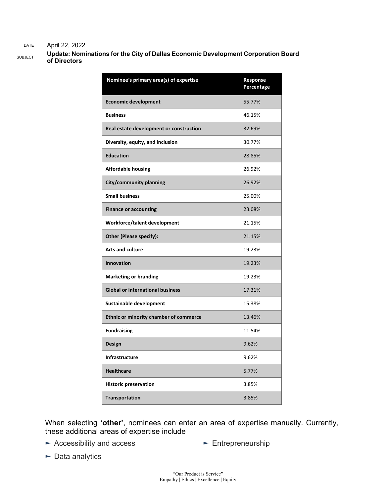#### DATE April 22, 2022

SUBJECT **Update: Nominations for the City of Dallas Economic Development Corporation Board of Directors**

| Nominee's primary area(s) of expertise  | Response<br>Percentage |
|-----------------------------------------|------------------------|
| <b>Economic development</b>             | 55.77%                 |
| <b>Business</b>                         | 46.15%                 |
| Real estate development or construction | 32.69%                 |
| Diversity, equity, and inclusion        | 30.77%                 |
| <b>Education</b>                        | 28.85%                 |
| <b>Affordable housing</b>               | 26.92%                 |
| City/community planning                 | 26.92%                 |
| <b>Small business</b>                   | 25.00%                 |
| <b>Finance or accounting</b>            | 23.08%                 |
| Workforce/talent development            | 21.15%                 |
| <b>Other (Please specify):</b>          | 21.15%                 |
| <b>Arts and culture</b>                 | 19.23%                 |
| <b>Innovation</b>                       | 19.23%                 |
| <b>Marketing or branding</b>            | 19.23%                 |
| <b>Global or international business</b> | 17.31%                 |
| Sustainable development                 | 15.38%                 |
| Ethnic or minority chamber of commerce  | 13.46%                 |
| <b>Fundraising</b>                      | 11.54%                 |
| <b>Design</b>                           | 9.62%                  |
| <b>Infrastructure</b>                   | 9.62%                  |
| <b>Healthcare</b>                       | 5.77%                  |
| <b>Historic preservation</b>            | 3.85%                  |
| <b>Transportation</b>                   | 3.85%                  |

When selecting **'other'**, nominees can enter an area of expertise manually. Currently, these additional areas of expertise include

► Accessibility and access

► Entrepreneurship

► Data analytics